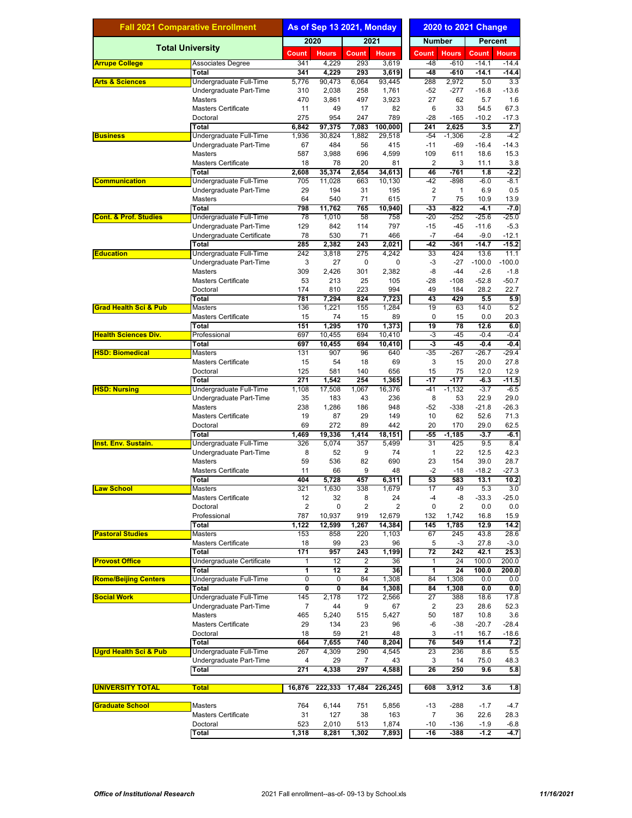| <b>Fall 2021 Comparative Enrollment</b> |                                                    | As of Sep 13 2021, Monday |                 |              | <b>2020 to 2021 Change</b> |                         |                 |                   |                   |  |
|-----------------------------------------|----------------------------------------------------|---------------------------|-----------------|--------------|----------------------------|-------------------------|-----------------|-------------------|-------------------|--|
|                                         |                                                    |                           | 2020            |              | 2021                       |                         | <b>Number</b>   |                   | <b>Percent</b>    |  |
|                                         | <b>Total University</b>                            | Count                     | <b>Hours</b>    | <b>Count</b> | <b>Hours</b>               | Count                   | <b>Hours</b>    | <b>Count</b>      | <b>Hours</b>      |  |
| <b>Arrupe College</b>                   | Associates Degree                                  | 341                       | 4,229           | 293          | 3,619                      | $-48$                   | $-610$          | $-14.1$           | $-14.4$           |  |
|                                         | Total                                              | 341                       | 4,229           | 293          | 3,619                      | $-48$                   | $-610$          | $-14.1$           | $-14.4$           |  |
| <b>Arts &amp; Sciences</b>              | Undergraduate Full-Time<br>Undergraduate Part-Time | 5,776<br>310              | 90,473<br>2,038 | 6,064<br>258 | 93.445<br>1,761            | 288<br>$-52$            | 2,972<br>$-277$ | 5.0<br>$-16.8$    | 3.3<br>$-13.6$    |  |
|                                         | Masters                                            | 470                       | 3,861           | 497          | 3,923                      | 27                      | 62              | 5.7               | 1.6               |  |
|                                         | <b>Masters Certificate</b>                         | 11                        | 49              | 17           | 82                         | 6                       | 33              | 54.5              | 67.3              |  |
|                                         | Doctoral                                           | 275                       | 954             | 247          | 789                        | $-28$                   | $-165$          | $-10.2$           | $-17.3$           |  |
|                                         | <b>Total</b>                                       | 6,842                     | 97,375          | 7,083        | 100,000                    | 241                     | 2,625           | 3.5               | 2.7               |  |
| <b>Business</b>                         | Undergraduate Full-Time<br>Undergraduate Part-Time | 1,936<br>67               | 30,824<br>484   | 1,882<br>56  | 29,518<br>415              | $-54$<br>$-11$          | $-1,306$<br>-69 | $-2.8$<br>$-16.4$ | $-4.2$<br>$-14.3$ |  |
|                                         | <b>Masters</b>                                     | 587                       | 3,988           | 696          | 4,599                      | 109                     | 611             | 18.6              | 15.3              |  |
|                                         | <b>Masters Certificate</b>                         | 18                        | 78              | 20           | 81                         | $\overline{2}$          | 3               | 11.1              | 3.8               |  |
|                                         | <b>Total</b>                                       | 2,608                     | 35,374          | 2,654        | 34,613                     | 46                      | $-761$          | 1.8               | $-2.2$            |  |
| <b>Communication</b>                    | Undergraduate Full-Time                            | 705                       | 11,028          | 663          | 10,130                     | $-42$                   | $-898$          | $-6.0$            | $-8.1$            |  |
|                                         | Undergraduate Part-Time                            | 29<br>64                  | 194             | 31<br>71     | 195                        | 2<br>$\overline{7}$     | 1<br>75         | 6.9               | 0.5<br>13.9       |  |
|                                         | Masters<br><b>Total</b>                            | 798                       | 540<br>11,762   | 765          | 615<br>10,940              | $-33$                   | $-822$          | 10.9<br>$-4.1$    | $-7.0$            |  |
| <b>Cont. &amp; Prof. Studies</b>        | Undergraduate Full-Time                            | 78                        | 1,010           | 58           | 758                        | $-20$                   | $-252$          | $-25.6$           | $-25.0$           |  |
|                                         | Undergraduate Part-Time                            | 129                       | 842             | 114          | 797                        | $-15$                   | -45             | $-11.6$           | $-5.3$            |  |
|                                         | Undergraduate Certificate                          | 78                        | 530             | 71           | 466                        | $-7$                    | $-64$           | $-9.0$            | $-12.1$           |  |
|                                         | Total                                              | 285                       | 2,382           | 243          | 2,021                      | $-42$                   | $-361$          | $-14.7$           | $-15.2$           |  |
| <b>Education</b>                        | Undergraduate Full-Time<br>Undergraduate Part-Time | 242<br>3                  | 3,818<br>27     | 275<br>0     | 4,242<br>0                 | 33<br>-3                | 424<br>$-27$    | 13.6<br>$-100.0$  | 11.1<br>$-100.0$  |  |
|                                         | <b>Masters</b>                                     | 309                       | 2,426           | 301          | 2,382                      | $-8$                    | $-44$           | $-2.6$            | $-1.8$            |  |
|                                         | <b>Masters Certificate</b>                         | 53                        | 213             | 25           | 105                        | -28                     | $-108$          | $-52.8$           | $-50.7$           |  |
|                                         | Doctoral                                           | 174                       | 810             | 223          | 994                        | 49                      | 184             | 28.2              | 22.7              |  |
|                                         | <b>Total</b>                                       | 781                       | 7,294           | 824          | 7,723                      | 43                      | 429             | 5.5               | 5.9               |  |
| <b>Grad Health Sci &amp; Pub</b>        | <b>Masters</b><br><b>Masters Certificate</b>       | 136<br>15                 | 1,221<br>74     | 155<br>15    | 1,284<br>89                | 19<br>0                 | 63<br>15        | 14.0<br>0.0       | 5.2<br>20.3       |  |
|                                         | <b>Total</b>                                       | 151                       | 1,295           | 170          | 1,373                      | 19                      | $\overline{78}$ | 12.6              | 6.0               |  |
| <b>Health Sciences Div.</b>             | Professional                                       | 697                       | 10,455          | 694          | 10,410                     | -3                      | $-45$           | $-0.4$            | $-0.4$            |  |
|                                         | Total                                              | 697                       | 10,455          | 694          | 10,410                     | $-3$                    | $-45$           | $-0.4$            | $-0.4$            |  |
| <b>HSD: Biomedical</b>                  | <b>Masters</b>                                     | 131                       | 907             | 96           | 640                        | $-35$                   | $-267$          | $-26.7$           | $-29.4$           |  |
|                                         | <b>Masters Certificate</b>                         | 15                        | 54              | 18           | 69                         | 3                       | 15              | 20.0              | 27.8              |  |
|                                         | Doctoral<br><b>Total</b>                           | 125<br>271                | 581<br>1,542    | 140<br>254   | 656<br>1,365               | 15<br>$-17$             | 75<br>$-177$    | 12.0<br>$-6.3$    | 12.9<br>$-11.5$   |  |
| <b>HSD: Nursing</b>                     | Undergraduate Full-Time                            | 1,108                     | 17,508          | 1,067        | 16,376                     | $-41$                   | $-1,132$        | $-3.7$            | $-6.5$            |  |
|                                         | Undergraduate Part-Time                            | 35                        | 183             | 43           | 236                        | 8                       | 53              | 22.9              | 29.0              |  |
|                                         | <b>Masters</b>                                     | 238                       | 1,286           | 186          | 948                        | -52                     | -338            | $-21.8$           | $-26.3$           |  |
|                                         | <b>Masters Certificate</b>                         | 19                        | 87              | 29           | 149                        | 10                      | 62              | 52.6              | 71.3              |  |
|                                         | Doctoral<br>Total                                  | 69<br>1,469               | 272<br>19,336   | 89<br>1,414  | 442<br>18,151              | 20<br>$-55$             | 170<br>$-1,185$ | 29.0<br>$-3.7$    | 62.5<br>$-6.1$    |  |
| <b>Inst. Env. Sustain.</b>              | Undergraduate Full-Time                            | 326                       | 5,074           | 357          | 5.499                      | 31                      | 425             | 9.5               | 8.4               |  |
|                                         | Undergraduate Part-Time                            | 8                         | 52              | 9            | 74                         | $\mathbf{1}$            | 22              | 12.5              | 42.3              |  |
|                                         | <b>Masters</b>                                     | 59                        | 536             | 82           | 690                        | 23                      | 154             | 39.0              | 28.7              |  |
|                                         | Masters Certificate                                | 11                        | 66              | 9            | 48                         | $-2$                    | $-18$           | $-18.2$           | $-27.3$           |  |
|                                         | <b>Total</b>                                       | 404                       | 5,728           | 457          | 6,311                      | 53                      | 583             | 13.1              | 10.2              |  |
| <b>Law School</b>                       | <b>Masters</b><br><b>Masters Certificate</b>       | 321<br>12                 | 1,630<br>32     | 338<br>8     | 1,679<br>24                | 17<br>$-4$              | 49<br>-8        | 5.3<br>$-33.3$    | 3.0<br>$-25.0$    |  |
|                                         | Doctoral                                           | 2                         | 0               | 2            | $\overline{2}$             | 0                       | $\overline{2}$  | 0.0               | 0.0               |  |
|                                         | Professional                                       | 787                       | 10,937          | 919          | 12,679                     | 132                     | 1,742           | 16.8              | 15.9              |  |
|                                         | <b>Total</b>                                       | 1,122                     | 12,599          | 1,267        | 14,384                     | 145                     | 1,785           | 12.9              | 14.2              |  |
| <b>Pastoral Studies</b>                 | Masters                                            | 153                       | 858             | 220          | 1,103                      | 67                      | 245             | 43.8              | 28.6              |  |
|                                         | <b>Masters Certificate</b><br><b>Total</b>         | 18<br>171                 | 99<br>957       | 23<br>243    | 96<br>1,199                | 5<br>72                 | -3<br>242       | 27.8<br>42.1      | $-3.0$<br>25.3    |  |
| <b>Provost Office</b>                   | Undergraduate Certificate                          | 1                         | 12              | 2            | 36                         | 1                       | 24              | 100.0             | 200.0             |  |
|                                         | Total                                              | 1                         | $\overline{12}$ | 2            | 36                         | 1                       | 24              | 100.0             | 200.0             |  |
| <b>Rome/Beijing Centers</b>             | Undergraduate Full-Time                            | $\mathbf 0$               | 0               | 84           | 1,308                      | 84                      | 1,308           | 0.0               | 0.0               |  |
|                                         | Total                                              | 0                         | Ō               | 84           | 1,308                      | 84                      | 1,308           | 0.0               | 0.0               |  |
| <b>Social Work</b>                      | Undergraduate Full-Time<br>Undergraduate Part-Time | 145<br>7                  | 2,178<br>44     | 172<br>9     | 2,566<br>67                | 27<br>$\overline{2}$    | 388<br>23       | 18.6<br>28.6      | 17.8<br>52.3      |  |
|                                         | <b>Masters</b>                                     | 465                       | 5,240           | 515          | 5,427                      | 50                      | 187             | 10.8              | 3.6               |  |
|                                         | <b>Masters Certificate</b>                         | 29                        | 134             | 23           | 96                         | $-6$                    | $-38$           | $-20.7$           | $-28.4$           |  |
|                                         | Doctoral                                           | 18                        | 59              | 21           | 48                         | 3                       | $-11$           | 16.7              | $-18.6$           |  |
| <b>Ugrd Health Sci &amp; Pub</b>        | <b>Total</b>                                       | 664                       | 7,655           | 740          | 8,204                      | 76                      | 549             | 11.4              | 7.2               |  |
|                                         | Undergraduate Full-Time                            | 267                       | 4,309           | 290          | 4,545                      | 23                      | 236             | 8.6               | 5.5               |  |
|                                         | Undergraduate Part-Time<br><b>Total</b>            | 4<br>271                  | 29<br>4,338     | 7<br>297     | 43<br>4,588                | 3<br>$\overline{26}$    | 14<br>250       | 75.0<br>9.6       | 48.3<br>5.8       |  |
|                                         |                                                    |                           |                 |              |                            |                         |                 |                   |                   |  |
| <b>UNIVERSITY TOTAL</b>                 | <b>Total</b>                                       | 16,876                    | 222,333         | 17,484       | 226,245                    | 608                     | 3,912           | 3.6               | 1.8               |  |
|                                         |                                                    |                           |                 |              |                            |                         |                 |                   |                   |  |
| <b>Graduate School</b>                  | Masters<br><b>Masters Certificate</b>              | 764<br>31                 | 6,144<br>127    | 751<br>38    | 5,856<br>163               | $-13$<br>$\overline{7}$ | $-288$<br>36    | $-1.7$<br>22.6    | $-4.7$<br>28.3    |  |
|                                         | Doctoral                                           | 523                       | 2,010           | 513          | 1,874                      | $-10$                   | $-136$          | $-1.9$            | $-6.8$            |  |
|                                         | <b>Total</b>                                       | 1,318                     | 8,281           | 1,302        | 7,893                      | $-16$                   | $-388$          | $-1.2$            | $-4.7$            |  |
|                                         |                                                    |                           |                 |              |                            |                         |                 |                   |                   |  |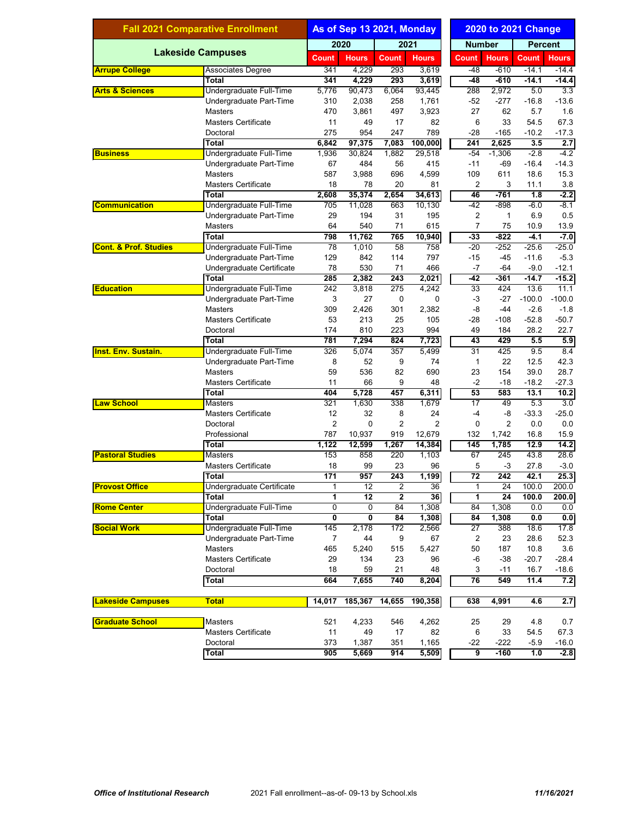| 2020<br>2021<br><b>Number</b><br><b>Percent</b><br><b>Lakeside Campuses</b><br><b>Hours</b><br><b>Hours</b><br><b>Count</b><br><b>Hours</b><br>Count<br><b>Count</b><br><b>Count</b><br><b>Hours</b><br>4,229<br>3,619<br>$-48$<br>$-610$<br>341<br>293<br>$-14.1$<br><b>Associates Degree</b><br>293<br>$-610$<br>341<br>4,229<br>$-48$<br>$-14.1$<br>Total<br>3,619<br>2,972<br>Undergraduate Full-Time<br>5,776<br>90,473<br>6,064<br>93,445<br>288<br>5.0<br>2,038<br>1,761<br>$-52$<br>$-277$<br>$-16.8$<br>Undergraduate Part-Time<br>310<br>258<br>3,923<br>27<br>5.7<br><b>Masters</b><br>470<br>3,861<br>497<br>62<br>49<br>17<br>82<br>6<br>33<br>54.5<br>67.3<br><b>Masters Certificate</b><br>11<br>275<br>247<br>789<br>$-28$<br>Doctoral<br>954<br>$-165$<br>$-10.2$<br>$-17.3$<br><b>Total</b><br>97,375<br>7,083<br>100,000<br>241<br>2,625<br>3.5<br>2.7<br>6,842<br>Undergraduate Full-Time<br>30,824<br>1,882<br>29,518<br>$-54$<br>$-1,306$<br>$-2.8$<br>$-4.2$<br>1,936<br><b>Business</b><br>67<br>484<br>56<br>415<br>$-11$<br>$-69$<br>$-16.4$<br>$-14.3$<br>Undergraduate Part-Time<br>3,988<br>696<br>611<br>18.6<br>15.3<br><b>Masters</b><br>587<br>4,599<br>109<br>2<br>3<br>3.8<br><b>Masters Certificate</b><br>18<br>78<br>20<br>81<br>11.1<br>35,374<br>46<br>$-761$<br>$-2.2$<br><b>Total</b><br>2,608<br>2,654<br>34,613<br>1.8<br>$-42$<br>Undergraduate Full-Time<br>663<br>10,130<br>$-898$<br>$-8.1$<br><b>Communication</b><br>705<br>11,028<br>-6.0<br>2<br>29<br>194<br>31<br>$\mathbf{1}$<br>6.9<br>0.5<br>Undergraduate Part-Time<br>195<br>64<br>540<br>71<br>7<br>75<br>Masters<br>615<br>10.9<br>11,762<br>$-822$<br><b>Total</b><br>798<br>765<br>10,940<br>$-33$<br>$-4.1$<br>758<br>$-20$<br>Undergraduate Full-Time<br>78<br>1,010<br>58<br>$-252$<br>$-25.6$<br>114<br>$-15$<br>Undergraduate Part-Time<br>129<br>842<br>797<br>$-45$<br>$-11.6$<br>78<br>530<br>71<br>$-7$<br>$-64$<br>$-9.0$<br>Undergraduate Certificate<br>466<br>285<br>2,382<br>$\overline{243}$<br>2,021<br>$-42$<br>$-361$<br>$-15.2$<br><b>Total</b><br>-14.7<br>275<br>424<br>Undergraduate Full-Time<br>242<br>3,818<br>4,242<br>$\overline{33}$<br>13.6<br>11.1<br>3<br>27<br>0<br>0<br>$-3$<br>$-27$<br>$-100.0$<br>$-100.0$<br>Undergraduate Part-Time<br>2,426<br>301<br>2,382<br>-8<br>$-44$<br>$-2.6$<br>$-1.8$<br>Masters<br>309<br>213<br>25<br>105<br>$-52.8$<br>$-50.7$<br><b>Masters Certificate</b><br>53<br>-28<br>$-108$<br>223<br>22.7<br>Doctoral<br>174<br>810<br>994<br>49<br>184<br>28.2<br>429<br><b>Total</b><br>781<br>7,294<br>824<br>7,723<br>43<br>5.5<br>5.9<br>31<br><b>Inst. Env. Sustain.</b><br>Undergraduate Full-Time<br>326<br>5,074<br>357<br>5,499<br>425<br>9.5<br>8.4<br>8<br>52<br>9<br>1<br>22<br>12.5<br>42.3<br>Undergraduate Part-Time<br>74<br>59<br>536<br>82<br>690<br>23<br>154<br>39.0<br>28.7<br><b>Masters</b><br>66<br>$-2$<br>$-18.2$<br><b>Masters Certificate</b><br>11<br>9<br>48<br>$-18$<br>53<br>404<br>5,728<br>457<br>6,311<br>583<br>13.1<br>Total<br>17<br>321<br>1,630<br>338<br>1,679<br>49<br>5.3<br><b>Masters</b><br>12<br>32<br>$-33.3$<br><b>Masters Certificate</b><br>8<br>24<br>-4<br>-8<br>$\overline{\mathbf{c}}$<br>$\overline{2}$<br>0<br>$\overline{2}$<br>0<br>2<br>Doctoral<br>0.0<br>787<br>10,937<br>132<br>16.8<br>Professional<br>919<br>12,679<br>1,742<br><b>Total</b><br>145<br>1,785<br>12.9<br>1,122<br>12,599<br>1,267<br>14,384<br>28.6<br><b>Pastoral Studies</b><br>Masters<br>153<br>858<br>220<br>1,103<br>67<br>245<br>43.8<br><b>Masters Certificate</b><br>18<br>99<br>5<br>23<br>96<br>-3<br>27.8<br>$-3.0$<br>171<br>957<br>1,199<br>$\overline{72}$<br>42.1<br>25.3<br>Total<br>243<br>242<br><b>Provost Office</b><br>Undergraduate Certificate<br>$\overline{24}$<br>100.0<br>200.0<br>12<br>2<br>36<br>1<br>1<br>1<br>$\overline{12}$<br>$\mathbf{2}$<br>36<br>$\overline{24}$<br>100.0<br>200.0<br>Total<br>1<br>Undergraduate Full-Time<br>0<br>$\overline{0}$<br>1,308<br>84<br>1,308<br>0.0<br><b>Rome Center</b><br>84<br>0.0<br>0<br>Total<br>0<br>84<br>1,308<br>84<br>1,308<br>0.0<br>0.0<br>Undergraduate Full-Time<br><b>Social Work</b><br>145<br>2,178<br>172<br>2,566<br>27<br>388<br>18.6<br>Undergraduate Part-Time<br>44<br>$\overline{2}$<br>7<br>9<br>67<br>23<br>28.6<br>50<br>187<br>10.8<br>465<br>5,240<br>515<br>5,427<br><b>Masters</b><br><b>Masters Certificate</b><br>29<br>134<br>23<br>96<br>-6<br>$-38$<br>$-20.7$<br>59<br>21<br>3<br>$-11$<br>16.7<br>Doctoral<br>18<br>48<br>76<br><b>Total</b><br>664<br>7,655<br>740<br>8,204<br>549<br>11.4<br>185,367<br>638<br><b>Total</b><br>14,017<br>14,655<br>190,358<br>4,991<br>4.6<br>521<br>4,233<br>4,262<br>4.8<br>Masters<br>546<br>25<br>29<br><b>Masters Certificate</b><br>11<br>49<br>17<br>82<br>6<br>33<br>54.5<br>1,387<br>$-222$<br>$-5.9$<br>Doctoral<br>373<br>351<br>-22<br>1,165<br>9<br><b>Total</b><br>905<br>5,669<br>914<br>$-160$<br>1.0 | <b>Fall 2021 Comparative Enrollment</b> |  | As of Sep 13 2021, Monday |  |  | <b>2020 to 2021 Change</b> |  |  |  |         |
|----------------------------------------------------------------------------------------------------------------------------------------------------------------------------------------------------------------------------------------------------------------------------------------------------------------------------------------------------------------------------------------------------------------------------------------------------------------------------------------------------------------------------------------------------------------------------------------------------------------------------------------------------------------------------------------------------------------------------------------------------------------------------------------------------------------------------------------------------------------------------------------------------------------------------------------------------------------------------------------------------------------------------------------------------------------------------------------------------------------------------------------------------------------------------------------------------------------------------------------------------------------------------------------------------------------------------------------------------------------------------------------------------------------------------------------------------------------------------------------------------------------------------------------------------------------------------------------------------------------------------------------------------------------------------------------------------------------------------------------------------------------------------------------------------------------------------------------------------------------------------------------------------------------------------------------------------------------------------------------------------------------------------------------------------------------------------------------------------------------------------------------------------------------------------------------------------------------------------------------------------------------------------------------------------------------------------------------------------------------------------------------------------------------------------------------------------------------------------------------------------------------------------------------------------------------------------------------------------------------------------------------------------------------------------------------------------------------------------------------------------------------------------------------------------------------------------------------------------------------------------------------------------------------------------------------------------------------------------------------------------------------------------------------------------------------------------------------------------------------------------------------------------------------------------------------------------------------------------------------------------------------------------------------------------------------------------------------------------------------------------------------------------------------------------------------------------------------------------------------------------------------------------------------------------------------------------------------------------------------------------------------------------------------------------------------------------------------------------------------------------------------------------------------------------------------------------------------------------------------------------------------------------------------------------------------------------------------------------------------------------------------------------------------------------------------------------------------------------------------------------------------------------------------------------------------------------------------------------------------------------------------------------------------------------------------------------------------------------------------------------------------------------------------------------------------------------------------------------------------------------------------------------------------------------------------------------------------------------------------------------------------------------------------------------------------------------------------------------------------------------------------------------------------------------------------------------------------------------------------------------------------------------------------------------------------------------------------------------------|-----------------------------------------|--|---------------------------|--|--|----------------------------|--|--|--|---------|
|                                                                                                                                                                                                                                                                                                                                                                                                                                                                                                                                                                                                                                                                                                                                                                                                                                                                                                                                                                                                                                                                                                                                                                                                                                                                                                                                                                                                                                                                                                                                                                                                                                                                                                                                                                                                                                                                                                                                                                                                                                                                                                                                                                                                                                                                                                                                                                                                                                                                                                                                                                                                                                                                                                                                                                                                                                                                                                                                                                                                                                                                                                                                                                                                                                                                                                                                                                                                                                                                                                                                                                                                                                                                                                                                                                                                                                                                                                                                                                                                                                                                                                                                                                                                                                                                                                                                                                                                                                                                                                                                                                                                                                                                                                                                                                                                                                                                                                                                                                                  |                                         |  |                           |  |  |                            |  |  |  |         |
|                                                                                                                                                                                                                                                                                                                                                                                                                                                                                                                                                                                                                                                                                                                                                                                                                                                                                                                                                                                                                                                                                                                                                                                                                                                                                                                                                                                                                                                                                                                                                                                                                                                                                                                                                                                                                                                                                                                                                                                                                                                                                                                                                                                                                                                                                                                                                                                                                                                                                                                                                                                                                                                                                                                                                                                                                                                                                                                                                                                                                                                                                                                                                                                                                                                                                                                                                                                                                                                                                                                                                                                                                                                                                                                                                                                                                                                                                                                                                                                                                                                                                                                                                                                                                                                                                                                                                                                                                                                                                                                                                                                                                                                                                                                                                                                                                                                                                                                                                                                  |                                         |  |                           |  |  |                            |  |  |  |         |
|                                                                                                                                                                                                                                                                                                                                                                                                                                                                                                                                                                                                                                                                                                                                                                                                                                                                                                                                                                                                                                                                                                                                                                                                                                                                                                                                                                                                                                                                                                                                                                                                                                                                                                                                                                                                                                                                                                                                                                                                                                                                                                                                                                                                                                                                                                                                                                                                                                                                                                                                                                                                                                                                                                                                                                                                                                                                                                                                                                                                                                                                                                                                                                                                                                                                                                                                                                                                                                                                                                                                                                                                                                                                                                                                                                                                                                                                                                                                                                                                                                                                                                                                                                                                                                                                                                                                                                                                                                                                                                                                                                                                                                                                                                                                                                                                                                                                                                                                                                                  | <b>Arrupe College</b>                   |  |                           |  |  |                            |  |  |  | $-14.4$ |
|                                                                                                                                                                                                                                                                                                                                                                                                                                                                                                                                                                                                                                                                                                                                                                                                                                                                                                                                                                                                                                                                                                                                                                                                                                                                                                                                                                                                                                                                                                                                                                                                                                                                                                                                                                                                                                                                                                                                                                                                                                                                                                                                                                                                                                                                                                                                                                                                                                                                                                                                                                                                                                                                                                                                                                                                                                                                                                                                                                                                                                                                                                                                                                                                                                                                                                                                                                                                                                                                                                                                                                                                                                                                                                                                                                                                                                                                                                                                                                                                                                                                                                                                                                                                                                                                                                                                                                                                                                                                                                                                                                                                                                                                                                                                                                                                                                                                                                                                                                                  |                                         |  |                           |  |  |                            |  |  |  | $-14.4$ |
|                                                                                                                                                                                                                                                                                                                                                                                                                                                                                                                                                                                                                                                                                                                                                                                                                                                                                                                                                                                                                                                                                                                                                                                                                                                                                                                                                                                                                                                                                                                                                                                                                                                                                                                                                                                                                                                                                                                                                                                                                                                                                                                                                                                                                                                                                                                                                                                                                                                                                                                                                                                                                                                                                                                                                                                                                                                                                                                                                                                                                                                                                                                                                                                                                                                                                                                                                                                                                                                                                                                                                                                                                                                                                                                                                                                                                                                                                                                                                                                                                                                                                                                                                                                                                                                                                                                                                                                                                                                                                                                                                                                                                                                                                                                                                                                                                                                                                                                                                                                  | <b>Arts &amp; Sciences</b>              |  |                           |  |  |                            |  |  |  | 3.3     |
|                                                                                                                                                                                                                                                                                                                                                                                                                                                                                                                                                                                                                                                                                                                                                                                                                                                                                                                                                                                                                                                                                                                                                                                                                                                                                                                                                                                                                                                                                                                                                                                                                                                                                                                                                                                                                                                                                                                                                                                                                                                                                                                                                                                                                                                                                                                                                                                                                                                                                                                                                                                                                                                                                                                                                                                                                                                                                                                                                                                                                                                                                                                                                                                                                                                                                                                                                                                                                                                                                                                                                                                                                                                                                                                                                                                                                                                                                                                                                                                                                                                                                                                                                                                                                                                                                                                                                                                                                                                                                                                                                                                                                                                                                                                                                                                                                                                                                                                                                                                  |                                         |  |                           |  |  |                            |  |  |  | $-13.6$ |
|                                                                                                                                                                                                                                                                                                                                                                                                                                                                                                                                                                                                                                                                                                                                                                                                                                                                                                                                                                                                                                                                                                                                                                                                                                                                                                                                                                                                                                                                                                                                                                                                                                                                                                                                                                                                                                                                                                                                                                                                                                                                                                                                                                                                                                                                                                                                                                                                                                                                                                                                                                                                                                                                                                                                                                                                                                                                                                                                                                                                                                                                                                                                                                                                                                                                                                                                                                                                                                                                                                                                                                                                                                                                                                                                                                                                                                                                                                                                                                                                                                                                                                                                                                                                                                                                                                                                                                                                                                                                                                                                                                                                                                                                                                                                                                                                                                                                                                                                                                                  |                                         |  |                           |  |  |                            |  |  |  | 1.6     |
|                                                                                                                                                                                                                                                                                                                                                                                                                                                                                                                                                                                                                                                                                                                                                                                                                                                                                                                                                                                                                                                                                                                                                                                                                                                                                                                                                                                                                                                                                                                                                                                                                                                                                                                                                                                                                                                                                                                                                                                                                                                                                                                                                                                                                                                                                                                                                                                                                                                                                                                                                                                                                                                                                                                                                                                                                                                                                                                                                                                                                                                                                                                                                                                                                                                                                                                                                                                                                                                                                                                                                                                                                                                                                                                                                                                                                                                                                                                                                                                                                                                                                                                                                                                                                                                                                                                                                                                                                                                                                                                                                                                                                                                                                                                                                                                                                                                                                                                                                                                  |                                         |  |                           |  |  |                            |  |  |  |         |
|                                                                                                                                                                                                                                                                                                                                                                                                                                                                                                                                                                                                                                                                                                                                                                                                                                                                                                                                                                                                                                                                                                                                                                                                                                                                                                                                                                                                                                                                                                                                                                                                                                                                                                                                                                                                                                                                                                                                                                                                                                                                                                                                                                                                                                                                                                                                                                                                                                                                                                                                                                                                                                                                                                                                                                                                                                                                                                                                                                                                                                                                                                                                                                                                                                                                                                                                                                                                                                                                                                                                                                                                                                                                                                                                                                                                                                                                                                                                                                                                                                                                                                                                                                                                                                                                                                                                                                                                                                                                                                                                                                                                                                                                                                                                                                                                                                                                                                                                                                                  |                                         |  |                           |  |  |                            |  |  |  |         |
|                                                                                                                                                                                                                                                                                                                                                                                                                                                                                                                                                                                                                                                                                                                                                                                                                                                                                                                                                                                                                                                                                                                                                                                                                                                                                                                                                                                                                                                                                                                                                                                                                                                                                                                                                                                                                                                                                                                                                                                                                                                                                                                                                                                                                                                                                                                                                                                                                                                                                                                                                                                                                                                                                                                                                                                                                                                                                                                                                                                                                                                                                                                                                                                                                                                                                                                                                                                                                                                                                                                                                                                                                                                                                                                                                                                                                                                                                                                                                                                                                                                                                                                                                                                                                                                                                                                                                                                                                                                                                                                                                                                                                                                                                                                                                                                                                                                                                                                                                                                  |                                         |  |                           |  |  |                            |  |  |  |         |
|                                                                                                                                                                                                                                                                                                                                                                                                                                                                                                                                                                                                                                                                                                                                                                                                                                                                                                                                                                                                                                                                                                                                                                                                                                                                                                                                                                                                                                                                                                                                                                                                                                                                                                                                                                                                                                                                                                                                                                                                                                                                                                                                                                                                                                                                                                                                                                                                                                                                                                                                                                                                                                                                                                                                                                                                                                                                                                                                                                                                                                                                                                                                                                                                                                                                                                                                                                                                                                                                                                                                                                                                                                                                                                                                                                                                                                                                                                                                                                                                                                                                                                                                                                                                                                                                                                                                                                                                                                                                                                                                                                                                                                                                                                                                                                                                                                                                                                                                                                                  |                                         |  |                           |  |  |                            |  |  |  |         |
|                                                                                                                                                                                                                                                                                                                                                                                                                                                                                                                                                                                                                                                                                                                                                                                                                                                                                                                                                                                                                                                                                                                                                                                                                                                                                                                                                                                                                                                                                                                                                                                                                                                                                                                                                                                                                                                                                                                                                                                                                                                                                                                                                                                                                                                                                                                                                                                                                                                                                                                                                                                                                                                                                                                                                                                                                                                                                                                                                                                                                                                                                                                                                                                                                                                                                                                                                                                                                                                                                                                                                                                                                                                                                                                                                                                                                                                                                                                                                                                                                                                                                                                                                                                                                                                                                                                                                                                                                                                                                                                                                                                                                                                                                                                                                                                                                                                                                                                                                                                  |                                         |  |                           |  |  |                            |  |  |  |         |
|                                                                                                                                                                                                                                                                                                                                                                                                                                                                                                                                                                                                                                                                                                                                                                                                                                                                                                                                                                                                                                                                                                                                                                                                                                                                                                                                                                                                                                                                                                                                                                                                                                                                                                                                                                                                                                                                                                                                                                                                                                                                                                                                                                                                                                                                                                                                                                                                                                                                                                                                                                                                                                                                                                                                                                                                                                                                                                                                                                                                                                                                                                                                                                                                                                                                                                                                                                                                                                                                                                                                                                                                                                                                                                                                                                                                                                                                                                                                                                                                                                                                                                                                                                                                                                                                                                                                                                                                                                                                                                                                                                                                                                                                                                                                                                                                                                                                                                                                                                                  |                                         |  |                           |  |  |                            |  |  |  |         |
|                                                                                                                                                                                                                                                                                                                                                                                                                                                                                                                                                                                                                                                                                                                                                                                                                                                                                                                                                                                                                                                                                                                                                                                                                                                                                                                                                                                                                                                                                                                                                                                                                                                                                                                                                                                                                                                                                                                                                                                                                                                                                                                                                                                                                                                                                                                                                                                                                                                                                                                                                                                                                                                                                                                                                                                                                                                                                                                                                                                                                                                                                                                                                                                                                                                                                                                                                                                                                                                                                                                                                                                                                                                                                                                                                                                                                                                                                                                                                                                                                                                                                                                                                                                                                                                                                                                                                                                                                                                                                                                                                                                                                                                                                                                                                                                                                                                                                                                                                                                  |                                         |  |                           |  |  |                            |  |  |  |         |
|                                                                                                                                                                                                                                                                                                                                                                                                                                                                                                                                                                                                                                                                                                                                                                                                                                                                                                                                                                                                                                                                                                                                                                                                                                                                                                                                                                                                                                                                                                                                                                                                                                                                                                                                                                                                                                                                                                                                                                                                                                                                                                                                                                                                                                                                                                                                                                                                                                                                                                                                                                                                                                                                                                                                                                                                                                                                                                                                                                                                                                                                                                                                                                                                                                                                                                                                                                                                                                                                                                                                                                                                                                                                                                                                                                                                                                                                                                                                                                                                                                                                                                                                                                                                                                                                                                                                                                                                                                                                                                                                                                                                                                                                                                                                                                                                                                                                                                                                                                                  |                                         |  |                           |  |  |                            |  |  |  |         |
|                                                                                                                                                                                                                                                                                                                                                                                                                                                                                                                                                                                                                                                                                                                                                                                                                                                                                                                                                                                                                                                                                                                                                                                                                                                                                                                                                                                                                                                                                                                                                                                                                                                                                                                                                                                                                                                                                                                                                                                                                                                                                                                                                                                                                                                                                                                                                                                                                                                                                                                                                                                                                                                                                                                                                                                                                                                                                                                                                                                                                                                                                                                                                                                                                                                                                                                                                                                                                                                                                                                                                                                                                                                                                                                                                                                                                                                                                                                                                                                                                                                                                                                                                                                                                                                                                                                                                                                                                                                                                                                                                                                                                                                                                                                                                                                                                                                                                                                                                                                  |                                         |  |                           |  |  |                            |  |  |  |         |
|                                                                                                                                                                                                                                                                                                                                                                                                                                                                                                                                                                                                                                                                                                                                                                                                                                                                                                                                                                                                                                                                                                                                                                                                                                                                                                                                                                                                                                                                                                                                                                                                                                                                                                                                                                                                                                                                                                                                                                                                                                                                                                                                                                                                                                                                                                                                                                                                                                                                                                                                                                                                                                                                                                                                                                                                                                                                                                                                                                                                                                                                                                                                                                                                                                                                                                                                                                                                                                                                                                                                                                                                                                                                                                                                                                                                                                                                                                                                                                                                                                                                                                                                                                                                                                                                                                                                                                                                                                                                                                                                                                                                                                                                                                                                                                                                                                                                                                                                                                                  |                                         |  |                           |  |  |                            |  |  |  | 13.9    |
|                                                                                                                                                                                                                                                                                                                                                                                                                                                                                                                                                                                                                                                                                                                                                                                                                                                                                                                                                                                                                                                                                                                                                                                                                                                                                                                                                                                                                                                                                                                                                                                                                                                                                                                                                                                                                                                                                                                                                                                                                                                                                                                                                                                                                                                                                                                                                                                                                                                                                                                                                                                                                                                                                                                                                                                                                                                                                                                                                                                                                                                                                                                                                                                                                                                                                                                                                                                                                                                                                                                                                                                                                                                                                                                                                                                                                                                                                                                                                                                                                                                                                                                                                                                                                                                                                                                                                                                                                                                                                                                                                                                                                                                                                                                                                                                                                                                                                                                                                                                  |                                         |  |                           |  |  |                            |  |  |  | $-7.0$  |
|                                                                                                                                                                                                                                                                                                                                                                                                                                                                                                                                                                                                                                                                                                                                                                                                                                                                                                                                                                                                                                                                                                                                                                                                                                                                                                                                                                                                                                                                                                                                                                                                                                                                                                                                                                                                                                                                                                                                                                                                                                                                                                                                                                                                                                                                                                                                                                                                                                                                                                                                                                                                                                                                                                                                                                                                                                                                                                                                                                                                                                                                                                                                                                                                                                                                                                                                                                                                                                                                                                                                                                                                                                                                                                                                                                                                                                                                                                                                                                                                                                                                                                                                                                                                                                                                                                                                                                                                                                                                                                                                                                                                                                                                                                                                                                                                                                                                                                                                                                                  | <b>Cont. &amp; Prof. Studies</b>        |  |                           |  |  |                            |  |  |  | $-25.0$ |
|                                                                                                                                                                                                                                                                                                                                                                                                                                                                                                                                                                                                                                                                                                                                                                                                                                                                                                                                                                                                                                                                                                                                                                                                                                                                                                                                                                                                                                                                                                                                                                                                                                                                                                                                                                                                                                                                                                                                                                                                                                                                                                                                                                                                                                                                                                                                                                                                                                                                                                                                                                                                                                                                                                                                                                                                                                                                                                                                                                                                                                                                                                                                                                                                                                                                                                                                                                                                                                                                                                                                                                                                                                                                                                                                                                                                                                                                                                                                                                                                                                                                                                                                                                                                                                                                                                                                                                                                                                                                                                                                                                                                                                                                                                                                                                                                                                                                                                                                                                                  |                                         |  |                           |  |  |                            |  |  |  | $-5.3$  |
|                                                                                                                                                                                                                                                                                                                                                                                                                                                                                                                                                                                                                                                                                                                                                                                                                                                                                                                                                                                                                                                                                                                                                                                                                                                                                                                                                                                                                                                                                                                                                                                                                                                                                                                                                                                                                                                                                                                                                                                                                                                                                                                                                                                                                                                                                                                                                                                                                                                                                                                                                                                                                                                                                                                                                                                                                                                                                                                                                                                                                                                                                                                                                                                                                                                                                                                                                                                                                                                                                                                                                                                                                                                                                                                                                                                                                                                                                                                                                                                                                                                                                                                                                                                                                                                                                                                                                                                                                                                                                                                                                                                                                                                                                                                                                                                                                                                                                                                                                                                  |                                         |  |                           |  |  |                            |  |  |  | $-12.1$ |
|                                                                                                                                                                                                                                                                                                                                                                                                                                                                                                                                                                                                                                                                                                                                                                                                                                                                                                                                                                                                                                                                                                                                                                                                                                                                                                                                                                                                                                                                                                                                                                                                                                                                                                                                                                                                                                                                                                                                                                                                                                                                                                                                                                                                                                                                                                                                                                                                                                                                                                                                                                                                                                                                                                                                                                                                                                                                                                                                                                                                                                                                                                                                                                                                                                                                                                                                                                                                                                                                                                                                                                                                                                                                                                                                                                                                                                                                                                                                                                                                                                                                                                                                                                                                                                                                                                                                                                                                                                                                                                                                                                                                                                                                                                                                                                                                                                                                                                                                                                                  |                                         |  |                           |  |  |                            |  |  |  |         |
|                                                                                                                                                                                                                                                                                                                                                                                                                                                                                                                                                                                                                                                                                                                                                                                                                                                                                                                                                                                                                                                                                                                                                                                                                                                                                                                                                                                                                                                                                                                                                                                                                                                                                                                                                                                                                                                                                                                                                                                                                                                                                                                                                                                                                                                                                                                                                                                                                                                                                                                                                                                                                                                                                                                                                                                                                                                                                                                                                                                                                                                                                                                                                                                                                                                                                                                                                                                                                                                                                                                                                                                                                                                                                                                                                                                                                                                                                                                                                                                                                                                                                                                                                                                                                                                                                                                                                                                                                                                                                                                                                                                                                                                                                                                                                                                                                                                                                                                                                                                  | <b>Education</b>                        |  |                           |  |  |                            |  |  |  |         |
|                                                                                                                                                                                                                                                                                                                                                                                                                                                                                                                                                                                                                                                                                                                                                                                                                                                                                                                                                                                                                                                                                                                                                                                                                                                                                                                                                                                                                                                                                                                                                                                                                                                                                                                                                                                                                                                                                                                                                                                                                                                                                                                                                                                                                                                                                                                                                                                                                                                                                                                                                                                                                                                                                                                                                                                                                                                                                                                                                                                                                                                                                                                                                                                                                                                                                                                                                                                                                                                                                                                                                                                                                                                                                                                                                                                                                                                                                                                                                                                                                                                                                                                                                                                                                                                                                                                                                                                                                                                                                                                                                                                                                                                                                                                                                                                                                                                                                                                                                                                  |                                         |  |                           |  |  |                            |  |  |  |         |
|                                                                                                                                                                                                                                                                                                                                                                                                                                                                                                                                                                                                                                                                                                                                                                                                                                                                                                                                                                                                                                                                                                                                                                                                                                                                                                                                                                                                                                                                                                                                                                                                                                                                                                                                                                                                                                                                                                                                                                                                                                                                                                                                                                                                                                                                                                                                                                                                                                                                                                                                                                                                                                                                                                                                                                                                                                                                                                                                                                                                                                                                                                                                                                                                                                                                                                                                                                                                                                                                                                                                                                                                                                                                                                                                                                                                                                                                                                                                                                                                                                                                                                                                                                                                                                                                                                                                                                                                                                                                                                                                                                                                                                                                                                                                                                                                                                                                                                                                                                                  |                                         |  |                           |  |  |                            |  |  |  |         |
|                                                                                                                                                                                                                                                                                                                                                                                                                                                                                                                                                                                                                                                                                                                                                                                                                                                                                                                                                                                                                                                                                                                                                                                                                                                                                                                                                                                                                                                                                                                                                                                                                                                                                                                                                                                                                                                                                                                                                                                                                                                                                                                                                                                                                                                                                                                                                                                                                                                                                                                                                                                                                                                                                                                                                                                                                                                                                                                                                                                                                                                                                                                                                                                                                                                                                                                                                                                                                                                                                                                                                                                                                                                                                                                                                                                                                                                                                                                                                                                                                                                                                                                                                                                                                                                                                                                                                                                                                                                                                                                                                                                                                                                                                                                                                                                                                                                                                                                                                                                  |                                         |  |                           |  |  |                            |  |  |  |         |
|                                                                                                                                                                                                                                                                                                                                                                                                                                                                                                                                                                                                                                                                                                                                                                                                                                                                                                                                                                                                                                                                                                                                                                                                                                                                                                                                                                                                                                                                                                                                                                                                                                                                                                                                                                                                                                                                                                                                                                                                                                                                                                                                                                                                                                                                                                                                                                                                                                                                                                                                                                                                                                                                                                                                                                                                                                                                                                                                                                                                                                                                                                                                                                                                                                                                                                                                                                                                                                                                                                                                                                                                                                                                                                                                                                                                                                                                                                                                                                                                                                                                                                                                                                                                                                                                                                                                                                                                                                                                                                                                                                                                                                                                                                                                                                                                                                                                                                                                                                                  |                                         |  |                           |  |  |                            |  |  |  |         |
|                                                                                                                                                                                                                                                                                                                                                                                                                                                                                                                                                                                                                                                                                                                                                                                                                                                                                                                                                                                                                                                                                                                                                                                                                                                                                                                                                                                                                                                                                                                                                                                                                                                                                                                                                                                                                                                                                                                                                                                                                                                                                                                                                                                                                                                                                                                                                                                                                                                                                                                                                                                                                                                                                                                                                                                                                                                                                                                                                                                                                                                                                                                                                                                                                                                                                                                                                                                                                                                                                                                                                                                                                                                                                                                                                                                                                                                                                                                                                                                                                                                                                                                                                                                                                                                                                                                                                                                                                                                                                                                                                                                                                                                                                                                                                                                                                                                                                                                                                                                  |                                         |  |                           |  |  |                            |  |  |  |         |
|                                                                                                                                                                                                                                                                                                                                                                                                                                                                                                                                                                                                                                                                                                                                                                                                                                                                                                                                                                                                                                                                                                                                                                                                                                                                                                                                                                                                                                                                                                                                                                                                                                                                                                                                                                                                                                                                                                                                                                                                                                                                                                                                                                                                                                                                                                                                                                                                                                                                                                                                                                                                                                                                                                                                                                                                                                                                                                                                                                                                                                                                                                                                                                                                                                                                                                                                                                                                                                                                                                                                                                                                                                                                                                                                                                                                                                                                                                                                                                                                                                                                                                                                                                                                                                                                                                                                                                                                                                                                                                                                                                                                                                                                                                                                                                                                                                                                                                                                                                                  |                                         |  |                           |  |  |                            |  |  |  |         |
|                                                                                                                                                                                                                                                                                                                                                                                                                                                                                                                                                                                                                                                                                                                                                                                                                                                                                                                                                                                                                                                                                                                                                                                                                                                                                                                                                                                                                                                                                                                                                                                                                                                                                                                                                                                                                                                                                                                                                                                                                                                                                                                                                                                                                                                                                                                                                                                                                                                                                                                                                                                                                                                                                                                                                                                                                                                                                                                                                                                                                                                                                                                                                                                                                                                                                                                                                                                                                                                                                                                                                                                                                                                                                                                                                                                                                                                                                                                                                                                                                                                                                                                                                                                                                                                                                                                                                                                                                                                                                                                                                                                                                                                                                                                                                                                                                                                                                                                                                                                  |                                         |  |                           |  |  |                            |  |  |  |         |
|                                                                                                                                                                                                                                                                                                                                                                                                                                                                                                                                                                                                                                                                                                                                                                                                                                                                                                                                                                                                                                                                                                                                                                                                                                                                                                                                                                                                                                                                                                                                                                                                                                                                                                                                                                                                                                                                                                                                                                                                                                                                                                                                                                                                                                                                                                                                                                                                                                                                                                                                                                                                                                                                                                                                                                                                                                                                                                                                                                                                                                                                                                                                                                                                                                                                                                                                                                                                                                                                                                                                                                                                                                                                                                                                                                                                                                                                                                                                                                                                                                                                                                                                                                                                                                                                                                                                                                                                                                                                                                                                                                                                                                                                                                                                                                                                                                                                                                                                                                                  |                                         |  |                           |  |  |                            |  |  |  | $-27.3$ |
|                                                                                                                                                                                                                                                                                                                                                                                                                                                                                                                                                                                                                                                                                                                                                                                                                                                                                                                                                                                                                                                                                                                                                                                                                                                                                                                                                                                                                                                                                                                                                                                                                                                                                                                                                                                                                                                                                                                                                                                                                                                                                                                                                                                                                                                                                                                                                                                                                                                                                                                                                                                                                                                                                                                                                                                                                                                                                                                                                                                                                                                                                                                                                                                                                                                                                                                                                                                                                                                                                                                                                                                                                                                                                                                                                                                                                                                                                                                                                                                                                                                                                                                                                                                                                                                                                                                                                                                                                                                                                                                                                                                                                                                                                                                                                                                                                                                                                                                                                                                  |                                         |  |                           |  |  |                            |  |  |  | 10.2    |
|                                                                                                                                                                                                                                                                                                                                                                                                                                                                                                                                                                                                                                                                                                                                                                                                                                                                                                                                                                                                                                                                                                                                                                                                                                                                                                                                                                                                                                                                                                                                                                                                                                                                                                                                                                                                                                                                                                                                                                                                                                                                                                                                                                                                                                                                                                                                                                                                                                                                                                                                                                                                                                                                                                                                                                                                                                                                                                                                                                                                                                                                                                                                                                                                                                                                                                                                                                                                                                                                                                                                                                                                                                                                                                                                                                                                                                                                                                                                                                                                                                                                                                                                                                                                                                                                                                                                                                                                                                                                                                                                                                                                                                                                                                                                                                                                                                                                                                                                                                                  | <b>Law School</b>                       |  |                           |  |  |                            |  |  |  | 3.0     |
|                                                                                                                                                                                                                                                                                                                                                                                                                                                                                                                                                                                                                                                                                                                                                                                                                                                                                                                                                                                                                                                                                                                                                                                                                                                                                                                                                                                                                                                                                                                                                                                                                                                                                                                                                                                                                                                                                                                                                                                                                                                                                                                                                                                                                                                                                                                                                                                                                                                                                                                                                                                                                                                                                                                                                                                                                                                                                                                                                                                                                                                                                                                                                                                                                                                                                                                                                                                                                                                                                                                                                                                                                                                                                                                                                                                                                                                                                                                                                                                                                                                                                                                                                                                                                                                                                                                                                                                                                                                                                                                                                                                                                                                                                                                                                                                                                                                                                                                                                                                  |                                         |  |                           |  |  |                            |  |  |  | $-25.0$ |
|                                                                                                                                                                                                                                                                                                                                                                                                                                                                                                                                                                                                                                                                                                                                                                                                                                                                                                                                                                                                                                                                                                                                                                                                                                                                                                                                                                                                                                                                                                                                                                                                                                                                                                                                                                                                                                                                                                                                                                                                                                                                                                                                                                                                                                                                                                                                                                                                                                                                                                                                                                                                                                                                                                                                                                                                                                                                                                                                                                                                                                                                                                                                                                                                                                                                                                                                                                                                                                                                                                                                                                                                                                                                                                                                                                                                                                                                                                                                                                                                                                                                                                                                                                                                                                                                                                                                                                                                                                                                                                                                                                                                                                                                                                                                                                                                                                                                                                                                                                                  |                                         |  |                           |  |  |                            |  |  |  | 0.0     |
|                                                                                                                                                                                                                                                                                                                                                                                                                                                                                                                                                                                                                                                                                                                                                                                                                                                                                                                                                                                                                                                                                                                                                                                                                                                                                                                                                                                                                                                                                                                                                                                                                                                                                                                                                                                                                                                                                                                                                                                                                                                                                                                                                                                                                                                                                                                                                                                                                                                                                                                                                                                                                                                                                                                                                                                                                                                                                                                                                                                                                                                                                                                                                                                                                                                                                                                                                                                                                                                                                                                                                                                                                                                                                                                                                                                                                                                                                                                                                                                                                                                                                                                                                                                                                                                                                                                                                                                                                                                                                                                                                                                                                                                                                                                                                                                                                                                                                                                                                                                  |                                         |  |                           |  |  |                            |  |  |  | 15.9    |
|                                                                                                                                                                                                                                                                                                                                                                                                                                                                                                                                                                                                                                                                                                                                                                                                                                                                                                                                                                                                                                                                                                                                                                                                                                                                                                                                                                                                                                                                                                                                                                                                                                                                                                                                                                                                                                                                                                                                                                                                                                                                                                                                                                                                                                                                                                                                                                                                                                                                                                                                                                                                                                                                                                                                                                                                                                                                                                                                                                                                                                                                                                                                                                                                                                                                                                                                                                                                                                                                                                                                                                                                                                                                                                                                                                                                                                                                                                                                                                                                                                                                                                                                                                                                                                                                                                                                                                                                                                                                                                                                                                                                                                                                                                                                                                                                                                                                                                                                                                                  |                                         |  |                           |  |  |                            |  |  |  | 14.2    |
|                                                                                                                                                                                                                                                                                                                                                                                                                                                                                                                                                                                                                                                                                                                                                                                                                                                                                                                                                                                                                                                                                                                                                                                                                                                                                                                                                                                                                                                                                                                                                                                                                                                                                                                                                                                                                                                                                                                                                                                                                                                                                                                                                                                                                                                                                                                                                                                                                                                                                                                                                                                                                                                                                                                                                                                                                                                                                                                                                                                                                                                                                                                                                                                                                                                                                                                                                                                                                                                                                                                                                                                                                                                                                                                                                                                                                                                                                                                                                                                                                                                                                                                                                                                                                                                                                                                                                                                                                                                                                                                                                                                                                                                                                                                                                                                                                                                                                                                                                                                  |                                         |  |                           |  |  |                            |  |  |  |         |
|                                                                                                                                                                                                                                                                                                                                                                                                                                                                                                                                                                                                                                                                                                                                                                                                                                                                                                                                                                                                                                                                                                                                                                                                                                                                                                                                                                                                                                                                                                                                                                                                                                                                                                                                                                                                                                                                                                                                                                                                                                                                                                                                                                                                                                                                                                                                                                                                                                                                                                                                                                                                                                                                                                                                                                                                                                                                                                                                                                                                                                                                                                                                                                                                                                                                                                                                                                                                                                                                                                                                                                                                                                                                                                                                                                                                                                                                                                                                                                                                                                                                                                                                                                                                                                                                                                                                                                                                                                                                                                                                                                                                                                                                                                                                                                                                                                                                                                                                                                                  |                                         |  |                           |  |  |                            |  |  |  |         |
|                                                                                                                                                                                                                                                                                                                                                                                                                                                                                                                                                                                                                                                                                                                                                                                                                                                                                                                                                                                                                                                                                                                                                                                                                                                                                                                                                                                                                                                                                                                                                                                                                                                                                                                                                                                                                                                                                                                                                                                                                                                                                                                                                                                                                                                                                                                                                                                                                                                                                                                                                                                                                                                                                                                                                                                                                                                                                                                                                                                                                                                                                                                                                                                                                                                                                                                                                                                                                                                                                                                                                                                                                                                                                                                                                                                                                                                                                                                                                                                                                                                                                                                                                                                                                                                                                                                                                                                                                                                                                                                                                                                                                                                                                                                                                                                                                                                                                                                                                                                  |                                         |  |                           |  |  |                            |  |  |  |         |
|                                                                                                                                                                                                                                                                                                                                                                                                                                                                                                                                                                                                                                                                                                                                                                                                                                                                                                                                                                                                                                                                                                                                                                                                                                                                                                                                                                                                                                                                                                                                                                                                                                                                                                                                                                                                                                                                                                                                                                                                                                                                                                                                                                                                                                                                                                                                                                                                                                                                                                                                                                                                                                                                                                                                                                                                                                                                                                                                                                                                                                                                                                                                                                                                                                                                                                                                                                                                                                                                                                                                                                                                                                                                                                                                                                                                                                                                                                                                                                                                                                                                                                                                                                                                                                                                                                                                                                                                                                                                                                                                                                                                                                                                                                                                                                                                                                                                                                                                                                                  |                                         |  |                           |  |  |                            |  |  |  |         |
|                                                                                                                                                                                                                                                                                                                                                                                                                                                                                                                                                                                                                                                                                                                                                                                                                                                                                                                                                                                                                                                                                                                                                                                                                                                                                                                                                                                                                                                                                                                                                                                                                                                                                                                                                                                                                                                                                                                                                                                                                                                                                                                                                                                                                                                                                                                                                                                                                                                                                                                                                                                                                                                                                                                                                                                                                                                                                                                                                                                                                                                                                                                                                                                                                                                                                                                                                                                                                                                                                                                                                                                                                                                                                                                                                                                                                                                                                                                                                                                                                                                                                                                                                                                                                                                                                                                                                                                                                                                                                                                                                                                                                                                                                                                                                                                                                                                                                                                                                                                  |                                         |  |                           |  |  |                            |  |  |  |         |
|                                                                                                                                                                                                                                                                                                                                                                                                                                                                                                                                                                                                                                                                                                                                                                                                                                                                                                                                                                                                                                                                                                                                                                                                                                                                                                                                                                                                                                                                                                                                                                                                                                                                                                                                                                                                                                                                                                                                                                                                                                                                                                                                                                                                                                                                                                                                                                                                                                                                                                                                                                                                                                                                                                                                                                                                                                                                                                                                                                                                                                                                                                                                                                                                                                                                                                                                                                                                                                                                                                                                                                                                                                                                                                                                                                                                                                                                                                                                                                                                                                                                                                                                                                                                                                                                                                                                                                                                                                                                                                                                                                                                                                                                                                                                                                                                                                                                                                                                                                                  |                                         |  |                           |  |  |                            |  |  |  |         |
|                                                                                                                                                                                                                                                                                                                                                                                                                                                                                                                                                                                                                                                                                                                                                                                                                                                                                                                                                                                                                                                                                                                                                                                                                                                                                                                                                                                                                                                                                                                                                                                                                                                                                                                                                                                                                                                                                                                                                                                                                                                                                                                                                                                                                                                                                                                                                                                                                                                                                                                                                                                                                                                                                                                                                                                                                                                                                                                                                                                                                                                                                                                                                                                                                                                                                                                                                                                                                                                                                                                                                                                                                                                                                                                                                                                                                                                                                                                                                                                                                                                                                                                                                                                                                                                                                                                                                                                                                                                                                                                                                                                                                                                                                                                                                                                                                                                                                                                                                                                  |                                         |  |                           |  |  |                            |  |  |  | 17.8    |
|                                                                                                                                                                                                                                                                                                                                                                                                                                                                                                                                                                                                                                                                                                                                                                                                                                                                                                                                                                                                                                                                                                                                                                                                                                                                                                                                                                                                                                                                                                                                                                                                                                                                                                                                                                                                                                                                                                                                                                                                                                                                                                                                                                                                                                                                                                                                                                                                                                                                                                                                                                                                                                                                                                                                                                                                                                                                                                                                                                                                                                                                                                                                                                                                                                                                                                                                                                                                                                                                                                                                                                                                                                                                                                                                                                                                                                                                                                                                                                                                                                                                                                                                                                                                                                                                                                                                                                                                                                                                                                                                                                                                                                                                                                                                                                                                                                                                                                                                                                                  |                                         |  |                           |  |  |                            |  |  |  | 52.3    |
|                                                                                                                                                                                                                                                                                                                                                                                                                                                                                                                                                                                                                                                                                                                                                                                                                                                                                                                                                                                                                                                                                                                                                                                                                                                                                                                                                                                                                                                                                                                                                                                                                                                                                                                                                                                                                                                                                                                                                                                                                                                                                                                                                                                                                                                                                                                                                                                                                                                                                                                                                                                                                                                                                                                                                                                                                                                                                                                                                                                                                                                                                                                                                                                                                                                                                                                                                                                                                                                                                                                                                                                                                                                                                                                                                                                                                                                                                                                                                                                                                                                                                                                                                                                                                                                                                                                                                                                                                                                                                                                                                                                                                                                                                                                                                                                                                                                                                                                                                                                  |                                         |  |                           |  |  |                            |  |  |  | 3.6     |
|                                                                                                                                                                                                                                                                                                                                                                                                                                                                                                                                                                                                                                                                                                                                                                                                                                                                                                                                                                                                                                                                                                                                                                                                                                                                                                                                                                                                                                                                                                                                                                                                                                                                                                                                                                                                                                                                                                                                                                                                                                                                                                                                                                                                                                                                                                                                                                                                                                                                                                                                                                                                                                                                                                                                                                                                                                                                                                                                                                                                                                                                                                                                                                                                                                                                                                                                                                                                                                                                                                                                                                                                                                                                                                                                                                                                                                                                                                                                                                                                                                                                                                                                                                                                                                                                                                                                                                                                                                                                                                                                                                                                                                                                                                                                                                                                                                                                                                                                                                                  |                                         |  |                           |  |  |                            |  |  |  | $-28.4$ |
|                                                                                                                                                                                                                                                                                                                                                                                                                                                                                                                                                                                                                                                                                                                                                                                                                                                                                                                                                                                                                                                                                                                                                                                                                                                                                                                                                                                                                                                                                                                                                                                                                                                                                                                                                                                                                                                                                                                                                                                                                                                                                                                                                                                                                                                                                                                                                                                                                                                                                                                                                                                                                                                                                                                                                                                                                                                                                                                                                                                                                                                                                                                                                                                                                                                                                                                                                                                                                                                                                                                                                                                                                                                                                                                                                                                                                                                                                                                                                                                                                                                                                                                                                                                                                                                                                                                                                                                                                                                                                                                                                                                                                                                                                                                                                                                                                                                                                                                                                                                  |                                         |  |                           |  |  |                            |  |  |  | $-18.6$ |
|                                                                                                                                                                                                                                                                                                                                                                                                                                                                                                                                                                                                                                                                                                                                                                                                                                                                                                                                                                                                                                                                                                                                                                                                                                                                                                                                                                                                                                                                                                                                                                                                                                                                                                                                                                                                                                                                                                                                                                                                                                                                                                                                                                                                                                                                                                                                                                                                                                                                                                                                                                                                                                                                                                                                                                                                                                                                                                                                                                                                                                                                                                                                                                                                                                                                                                                                                                                                                                                                                                                                                                                                                                                                                                                                                                                                                                                                                                                                                                                                                                                                                                                                                                                                                                                                                                                                                                                                                                                                                                                                                                                                                                                                                                                                                                                                                                                                                                                                                                                  |                                         |  |                           |  |  |                            |  |  |  | 7.2     |
|                                                                                                                                                                                                                                                                                                                                                                                                                                                                                                                                                                                                                                                                                                                                                                                                                                                                                                                                                                                                                                                                                                                                                                                                                                                                                                                                                                                                                                                                                                                                                                                                                                                                                                                                                                                                                                                                                                                                                                                                                                                                                                                                                                                                                                                                                                                                                                                                                                                                                                                                                                                                                                                                                                                                                                                                                                                                                                                                                                                                                                                                                                                                                                                                                                                                                                                                                                                                                                                                                                                                                                                                                                                                                                                                                                                                                                                                                                                                                                                                                                                                                                                                                                                                                                                                                                                                                                                                                                                                                                                                                                                                                                                                                                                                                                                                                                                                                                                                                                                  | <b>Lakeside Campuses</b>                |  |                           |  |  |                            |  |  |  | 2.7     |
|                                                                                                                                                                                                                                                                                                                                                                                                                                                                                                                                                                                                                                                                                                                                                                                                                                                                                                                                                                                                                                                                                                                                                                                                                                                                                                                                                                                                                                                                                                                                                                                                                                                                                                                                                                                                                                                                                                                                                                                                                                                                                                                                                                                                                                                                                                                                                                                                                                                                                                                                                                                                                                                                                                                                                                                                                                                                                                                                                                                                                                                                                                                                                                                                                                                                                                                                                                                                                                                                                                                                                                                                                                                                                                                                                                                                                                                                                                                                                                                                                                                                                                                                                                                                                                                                                                                                                                                                                                                                                                                                                                                                                                                                                                                                                                                                                                                                                                                                                                                  | <b>Graduate School</b>                  |  |                           |  |  |                            |  |  |  | 0.7     |
|                                                                                                                                                                                                                                                                                                                                                                                                                                                                                                                                                                                                                                                                                                                                                                                                                                                                                                                                                                                                                                                                                                                                                                                                                                                                                                                                                                                                                                                                                                                                                                                                                                                                                                                                                                                                                                                                                                                                                                                                                                                                                                                                                                                                                                                                                                                                                                                                                                                                                                                                                                                                                                                                                                                                                                                                                                                                                                                                                                                                                                                                                                                                                                                                                                                                                                                                                                                                                                                                                                                                                                                                                                                                                                                                                                                                                                                                                                                                                                                                                                                                                                                                                                                                                                                                                                                                                                                                                                                                                                                                                                                                                                                                                                                                                                                                                                                                                                                                                                                  |                                         |  |                           |  |  |                            |  |  |  | 67.3    |
|                                                                                                                                                                                                                                                                                                                                                                                                                                                                                                                                                                                                                                                                                                                                                                                                                                                                                                                                                                                                                                                                                                                                                                                                                                                                                                                                                                                                                                                                                                                                                                                                                                                                                                                                                                                                                                                                                                                                                                                                                                                                                                                                                                                                                                                                                                                                                                                                                                                                                                                                                                                                                                                                                                                                                                                                                                                                                                                                                                                                                                                                                                                                                                                                                                                                                                                                                                                                                                                                                                                                                                                                                                                                                                                                                                                                                                                                                                                                                                                                                                                                                                                                                                                                                                                                                                                                                                                                                                                                                                                                                                                                                                                                                                                                                                                                                                                                                                                                                                                  |                                         |  |                           |  |  |                            |  |  |  | $-16.0$ |
|                                                                                                                                                                                                                                                                                                                                                                                                                                                                                                                                                                                                                                                                                                                                                                                                                                                                                                                                                                                                                                                                                                                                                                                                                                                                                                                                                                                                                                                                                                                                                                                                                                                                                                                                                                                                                                                                                                                                                                                                                                                                                                                                                                                                                                                                                                                                                                                                                                                                                                                                                                                                                                                                                                                                                                                                                                                                                                                                                                                                                                                                                                                                                                                                                                                                                                                                                                                                                                                                                                                                                                                                                                                                                                                                                                                                                                                                                                                                                                                                                                                                                                                                                                                                                                                                                                                                                                                                                                                                                                                                                                                                                                                                                                                                                                                                                                                                                                                                                                                  |                                         |  |                           |  |  | 5,509                      |  |  |  | $-2.8$  |